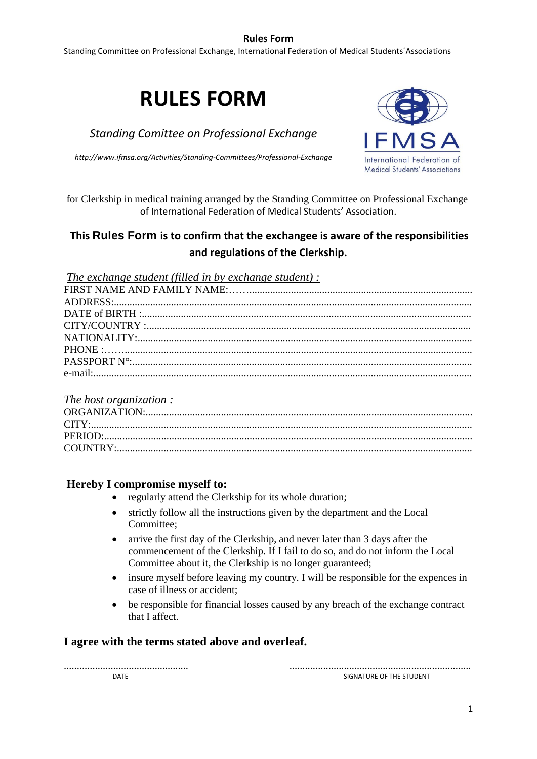## **Rules Form**

Standing Committee on Professional Exchange, International Federation of Medical Students´Associations

# **RULES FORM**

*Standing Comittee on Professional Exchange*

*http://www.ifmsa.org/Activities/Standing-Committees/Professional-Exchange*



for Clerkship in medical training arranged by the Standing Committee on Professional Exchange of International Federation of Medical Students' Association.

# **This Rules Form is to confirm that the exchangee is aware of the responsibilities and regulations of the Clerkship.**

*The exchange student (filled in by exchange student) :*

#### *The host organization :*

# **Hereby I compromise myself to:**

- regularly attend the Clerkship for its whole duration;
- strictly follow all the instructions given by the department and the Local Committee;
- arrive the first day of the Clerkship, and never later than 3 days after the commencement of the Clerkship. If I fail to do so, and do not inform the Local Committee about it, the Clerkship is no longer guaranteed;
- insure myself before leaving my country. I will be responsible for the expences in case of illness or accident;
- be responsible for financial losses caused by any breach of the exchange contract that I affect.

# **I agree with the terms stated above and overleaf.**

................................................ ......................................................................

DATE SIGNATURE OF THE STUDENT SIGNATURE OF THE STUDENT